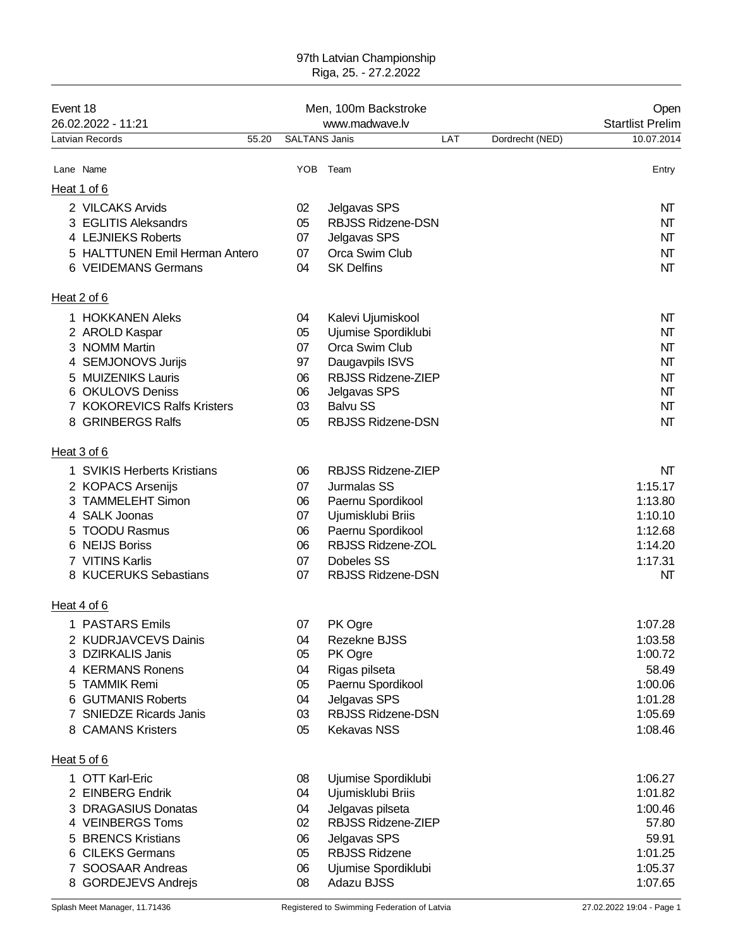## 97th Latvian Championship Riga, 25. - 27.2.2022

| Event 18<br>26.02.2022 - 11:21                        |       | Men, 100m Backstroke | Open<br><b>Startlist Prelim</b>        |     |                 |                    |
|-------------------------------------------------------|-------|----------------------|----------------------------------------|-----|-----------------|--------------------|
| Latvian Records                                       | 55.20 | <b>SALTANS Janis</b> |                                        | LAT | Dordrecht (NED) | 10.07.2014         |
| Lane Name                                             |       |                      | YOB Team                               |     |                 | Entry              |
| Heat 1 of 6                                           |       |                      |                                        |     |                 |                    |
| 2 VILCAKS Arvids                                      |       | 02                   | Jelgavas SPS                           |     |                 | NT                 |
| 3 EGLITIS Aleksandrs                                  |       | 05                   | <b>RBJSS Ridzene-DSN</b>               |     |                 | NT                 |
| 4 LEJNIEKS Roberts                                    |       | 07                   | Jelgavas SPS                           |     |                 | NT                 |
| 5 HALTTUNEN Emil Herman Antero<br>6 VEIDEMANS Germans |       | 07<br>04             | Orca Swim Club<br><b>SK Delfins</b>    |     |                 | NT<br>NΤ           |
| Heat 2 of 6                                           |       |                      |                                        |     |                 |                    |
| 1 HOKKANEN Aleks                                      |       | 04                   | Kalevi Ujumiskool                      |     |                 | NT                 |
| 2 AROLD Kaspar                                        |       | 05                   | Ujumise Spordiklubi                    |     |                 | NΤ                 |
| 3 NOMM Martin                                         |       | 07                   | Orca Swim Club                         |     |                 | NΤ                 |
| 4 SEMJONOVS Jurijs<br>5 MUIZENIKS Lauris              |       | 97                   | Daugavpils ISVS<br>RBJSS Ridzene-ZIEP  |     |                 | NΤ                 |
| 6 OKULOVS Deniss                                      |       | 06<br>06             | Jelgavas SPS                           |     |                 | NΤ<br>NΤ           |
| 7 KOKOREVICS Ralfs Kristers                           |       | 03                   | <b>Balvu SS</b>                        |     |                 | NΤ                 |
| 8 GRINBERGS Ralfs                                     |       | 05                   | <b>RBJSS Ridzene-DSN</b>               |     |                 | NT                 |
| Heat 3 of 6                                           |       |                      |                                        |     |                 |                    |
| 1 SVIKIS Herberts Kristians                           |       | 06                   | RBJSS Ridzene-ZIEP                     |     |                 | NT                 |
| 2 KOPACS Arsenijs                                     |       | 07                   | Jurmalas SS                            |     |                 | 1:15.17            |
| 3 TAMMELEHT Simon<br>4 SALK Joonas                    |       | 06<br>07             | Paernu Spordikool<br>Ujumisklubi Briis |     |                 | 1:13.80<br>1:10.10 |
| 5 TOODU Rasmus                                        |       | 06                   | Paernu Spordikool                      |     |                 | 1:12.68            |
| 6 NEIJS Boriss                                        |       | 06                   | RBJSS Ridzene-ZOL                      |     |                 | 1:14.20            |
| 7 VITINS Karlis                                       |       | 07                   | Dobeles SS                             |     |                 | 1:17.31            |
| 8 KUCERUKS Sebastians                                 |       | 07                   | <b>RBJSS Ridzene-DSN</b>               |     |                 | NΤ                 |
| Heat 4 of 6                                           |       |                      |                                        |     |                 |                    |
| 1 PASTARS Emils                                       |       | 07                   | PK Ogre                                |     |                 | 1:07.28            |
| 2 KUDRJAVCEVS Dainis<br>3 DZIRKALIS Janis             |       | 04<br>05             | Rezekne BJSS<br>PK Ogre                |     |                 | 1:03.58<br>1:00.72 |
| 4 KERMANS Ronens                                      |       | 04                   | Rigas pilseta                          |     |                 | 58.49              |
| 5 TAMMIK Remi                                         |       | 05                   | Paernu Spordikool                      |     |                 | 1:00.06            |
| 6 GUTMANIS Roberts                                    |       | 04                   | Jelgavas SPS                           |     |                 | 1:01.28            |
| 7 SNIEDZE Ricards Janis                               |       | 03                   | <b>RBJSS Ridzene-DSN</b>               |     |                 | 1:05.69            |
| 8 CAMANS Kristers                                     |       | 05                   | <b>Kekavas NSS</b>                     |     |                 | 1:08.46            |
| Heat 5 of 6                                           |       |                      |                                        |     |                 |                    |
| 1 OTT Karl-Eric                                       |       | 08                   | Ujumise Spordiklubi                    |     |                 | 1:06.27            |
| 2 EINBERG Endrik<br>3 DRAGASIUS Donatas               |       | 04<br>04             | Ujumisklubi Briis<br>Jelgavas pilseta  |     |                 | 1:01.82<br>1:00.46 |
| 4 VEINBERGS Toms                                      |       | 02                   | RBJSS Ridzene-ZIEP                     |     |                 | 57.80              |
| 5 BRENCS Kristians                                    |       | 06                   | Jelgavas SPS                           |     |                 | 59.91              |
| 6 CILEKS Germans                                      |       | 05                   | <b>RBJSS Ridzene</b>                   |     |                 | 1:01.25            |
| 7 SOOSAAR Andreas                                     |       | 06                   | Ujumise Spordiklubi                    |     |                 | 1:05.37            |
| 8 GORDEJEVS Andrejs                                   |       | 08                   | Adazu BJSS                             |     |                 | 1:07.65            |